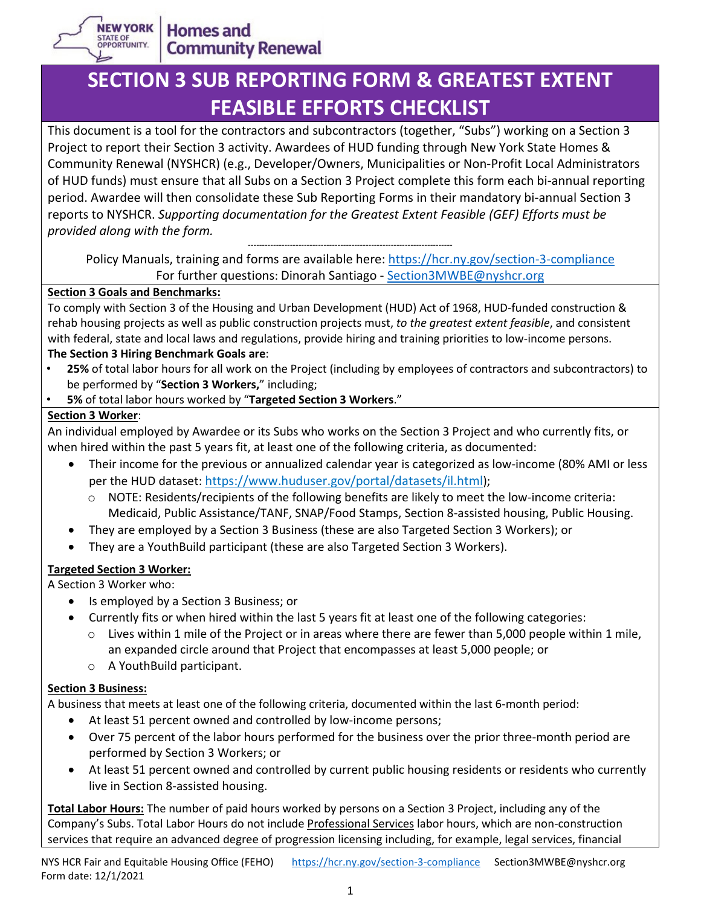

# **SECTION 3 SUB REPORTING FORM & GREATEST EXTENT FEASIBLE EFFORTS CHECKLIST**

This document is a tool for the contractors and subcontractors (together, "Subs") working on a Section 3 Project to report their Section 3 activity. Awardees of HUD funding through New York State Homes & Community Renewal (NYSHCR) (e.g., Developer/Owners, Municipalities or Non-Profit Local Administrators of HUD funds) must ensure that all Subs on a Section 3 Project complete this form each bi-annual reporting period. Awardee will then consolidate these Sub Reporting Forms in their mandatory bi-annual Section 3 reports to NYSHCR. *Supporting documentation for the Greatest Extent Feasible (GEF) Efforts must be provided along with the form.*

*-------------------------------------------------------------------------* Policy Manuals, training and forms are available here:<https://hcr.ny.gov/section-3-compliance> For further questions: Dinorah Santiago - [Section3MWBE@nyshcr.org](mailto:Section3MWBE@nyshcr.org)

#### **Section 3 Goals and Benchmarks:**

To comply with Section 3 of the Housing and Urban Development (HUD) Act of 1968, HUD-funded construction & rehab housing projects as well as public construction projects must, *to the greatest extent feasible*, and consistent with federal, state and local laws and regulations, provide hiring and training priorities to low-income persons. **The Section 3 Hiring Benchmark Goals are**:

- **25%** of total labor hours for all work on the Project (including by employees of contractors and subcontractors) to be performed by "**Section 3 Workers,**" including;
- **5%** of total labor hours worked by "**Targeted Section 3 Workers**."

#### **Section 3 Worker**:

An individual employed by Awardee or its Subs who works on the Section 3 Project and who currently fits, or when hired within the past 5 years fit, at least one of the following criteria, as documented:

- Their income for the previous or annualized calendar year is categorized as low-income (80% AMI or less per the HUD dataset: [https://www.huduser.gov/portal/datasets/il.html\)](https://www.huduser.gov/portal/datasets/il.html);
	- o NOTE: Residents/recipients of the following benefits are likely to meet the low-income criteria: Medicaid, Public Assistance/TANF, SNAP/Food Stamps, Section 8-assisted housing, Public Housing.
- They are employed by a Section 3 Business (these are also Targeted Section 3 Workers); or
- They are a YouthBuild participant (these are also Targeted Section 3 Workers).

### **Targeted Section 3 Worker:**

A Section 3 Worker who:

- Is employed by a Section 3 Business; or
- Currently fits or when hired within the last 5 years fit at least one of the following categories:
	- $\circ$  Lives within 1 mile of the Project or in areas where there are fewer than 5,000 people within 1 mile, an expanded circle around that Project that encompasses at least 5,000 people; or
	- o A YouthBuild participant.

#### **Section 3 Business:**

A business that meets at least one of the following criteria, documented within the last 6-month period:

- At least 51 percent owned and controlled by low-income persons;
- Over 75 percent of the labor hours performed for the business over the prior three-month period are performed by Section 3 Workers; or
- At least 51 percent owned and controlled by current public housing residents or residents who currently live in Section 8-assisted housing.

**Total Labor Hours:** The number of paid hours worked by persons on a Section 3 Project, including any of the Company's Subs. Total Labor Hours do not include Professional Services labor hours, which are non-construction services that require an advanced degree of progression licensing including, for example, legal services, financial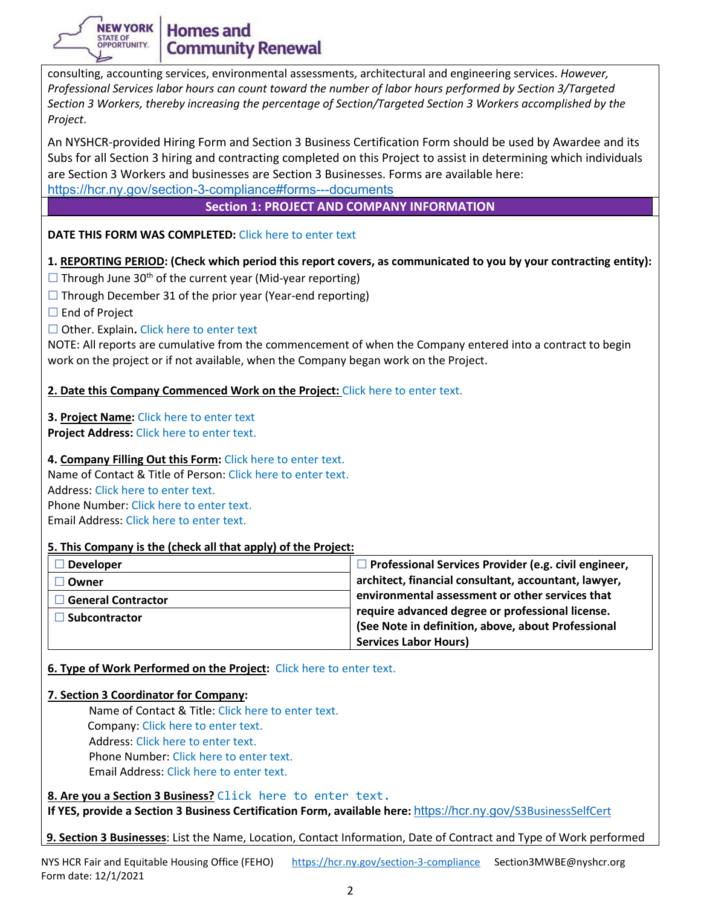

### **Homes and Community Renewal**

consulting, accounting services, environmental assessments, architectural and engineering services. *However, Professional Services labor hours can count toward the number of labor hours performed by Section 3/Targeted Section 3 Workers, thereby increasing the percentage of Section/Targeted Section 3 Workers accomplished by the Project*.

An NYSHCR-provided Hiring Form and Section 3 Business Certification Form should be used by Awardee and its Subs for all Section 3 hiring and contracting completed on this Project to assist in determining which individuals are Section 3 Workers and businesses are Section 3 Businesses. Forms are available here:

<https://hcr.ny.gov/section-3-compliance#forms---documents>

**Section 1: PROJECT AND COMPANY INFORMATION**

#### **DATE THIS FORM WAS COMPLETED:** Click here to enter text

#### **1. REPORTING PERIOD: (Check which period this report covers, as communicated to you by your contracting entity):**

- $\Box$  Through June 30<sup>th</sup> of the current year (Mid-year reporting)
- $\Box$  Through December 31 of the prior year (Year-end reporting)
- □ End of Project

#### ☐ Other. Explain**.** Click here to enter text

NOTE: All reports are cumulative from the commencement of when the Company entered into a contract to begin work on the project or if not available, when the Company began work on the Project.

**2. Date this Company Commenced Work on the Project:** Click here to enter text.

**3. Project Name:** Click here to enter text **Project Address:** Click here to enter text.

#### **4. Company Filling Out this Form:** Click here to enter text.

Name of Contact & Title of Person: Click here to enter text. Address: Click here to enter text. Phone Number: Click here to enter text.

Email Address: Click here to enter text.

#### **5. This Company is the (check all that apply) of the Project:**

| <b>Developer</b>     | $\Box$ Professional Services Provider (e.g. civil engineer, |
|----------------------|-------------------------------------------------------------|
| Owner                | architect, financial consultant, accountant, lawyer,        |
| General Contractor   | environmental assessment or other services that             |
| <b>Subcontractor</b> | require advanced degree or professional license.            |
|                      | (See Note in definition, above, about Professional          |
|                      | <b>Services Labor Hours)</b>                                |

**6. Type of Work Performed on the Project:** Click here to enter text.

#### **7. Section 3 Coordinator for Company:**

Name of Contact & Title: Click here to enter text. Company: Click here to enter text. Address: Click here to enter text. Phone Number: Click here to enter text. Email Address: Click here to enter text.

**8. Are you a Section 3 Business?** Click here to enter text.

**If YES, provide a Section 3 Business Certification Form, available here:** [https://hcr.ny.gov](https://hcr.ny.gov/S3BusinessSelfCert)[/S3BusinessSelfCert](https://hcr.ny.gov/S3BusinessSelfCert)

**9. Section 3 Businesses**: List the Name, Location, Contact Information, Date of Contract and Type of Work performed

NYS HCR Fair and Equitable Housing Office (FEHO) <https://hcr.ny.gov/section-3-compliance> Section3MWBE@nyshcr.org Form date: 12/1/2021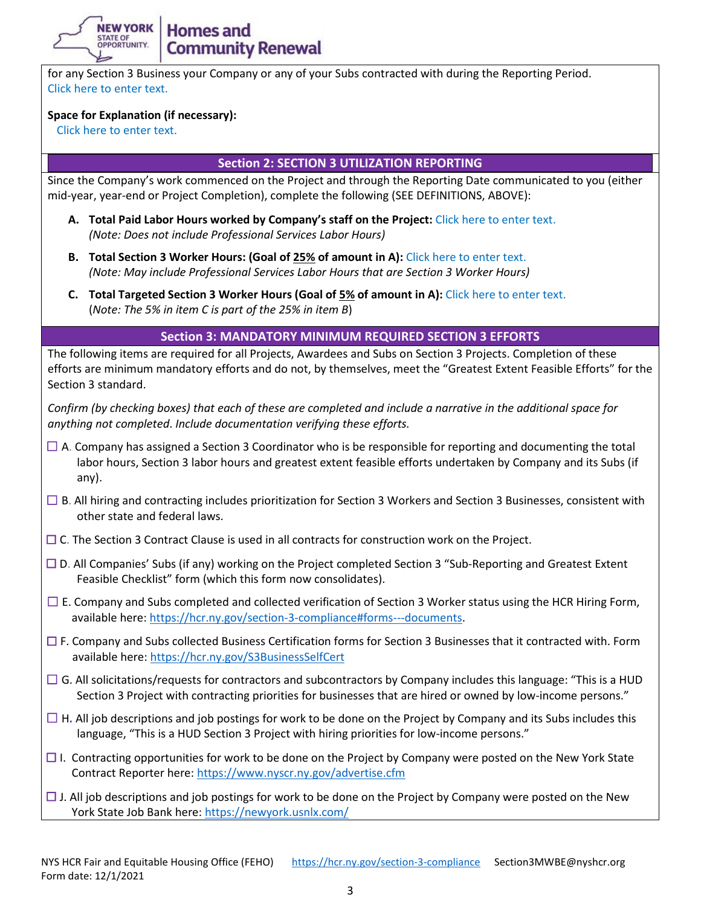**Homes and Community Renewal** 

for any Section 3 Business your Company or any of your Subs contracted with during the Reporting Period. Click here to enter text.

#### **Space for Explanation (if necessary):**

Click here to enter text.

**NEW YORK** 

STATE OF<br>OPPORTUNITY

#### **Section 2: SECTION 3 UTILIZATION REPORTING**

Since the Company's work commenced on the Project and through the Reporting Date communicated to you (either mid-year, year-end or Project Completion), complete the following (SEE DEFINITIONS, ABOVE):

- **A. Total Paid Labor Hours worked by Company's staff on the Project:** Click here to enter text. *(Note: Does not include Professional Services Labor Hours)*
- **B. Total Section 3 Worker Hours: (Goal of 25% of amount in A):** Click here to enter text. *(Note: May include Professional Services Labor Hours that are Section 3 Worker Hours)*
- **C. Total Targeted Section 3 Worker Hours (Goal of 5% of amount in A):** Click here to enter text. (*Note: The 5% in item C is part of the 25% in item B*)

#### **Section 3: MANDATORY MINIMUM REQUIRED SECTION 3 EFFORTS**

The following items are required for all Projects, Awardees and Subs on Section 3 Projects. Completion of these efforts are minimum mandatory efforts and do not, by themselves, meet the "Greatest Extent Feasible Efforts" for the Section 3 standard.

*Confirm (by checking boxes) that each of these are completed and include a narrative in the additional space for anything not completed*. *Include documentation verifying these efforts.*

- $\Box$  A. Company has assigned a Section 3 Coordinator who is be responsible for reporting and documenting the total labor hours, Section 3 labor hours and greatest extent feasible efforts undertaken by Company and its Subs (if any).
- ☐ B. All hiring and contracting includes prioritization for Section 3 Workers and Section 3 Businesses, consistent with other state and federal laws.
- □ C. The Section 3 Contract Clause is used in all contracts for construction work on the Project.
- ☐ D. All Companies' Subs (if any) working on the Project completed Section 3 "Sub-Reporting and Greatest Extent Feasible Checklist" form (which this form now consolidates).
- $\Box$  E. Company and Subs completed and collected verification of Section 3 Worker status using the HCR Hiring Form, available here[: https://hcr.ny.gov/section-3-compliance#forms---documents.](https://hcr.ny.gov/section-3-compliance#forms---documents)
- $\Box$  F. Company and Subs collected Business Certification forms for Section 3 Businesses that it contracted with. Form available here:<https://hcr.ny.gov/S3BusinessSelfCert>
- $\Box$  G. All solicitations/requests for contractors and subcontractors by Company includes this language: "This is a HUD Section 3 Project with contracting priorities for businesses that are hired or owned by low-income persons."
- $\Box$  H. All job descriptions and job postings for work to be done on the Project by Company and its Subs includes this language, "This is a HUD Section 3 Project with hiring priorities for low-income persons."
- $\Box$  I. Contracting opportunities for work to be done on the Project by Company were posted on the New York State Contract Reporter here:<https://www.nyscr.ny.gov/advertise.cfm>
- $\Box$  J. All job descriptions and job postings for work to be done on the Project by Company were posted on the New York State Job Bank here:<https://newyork.usnlx.com/>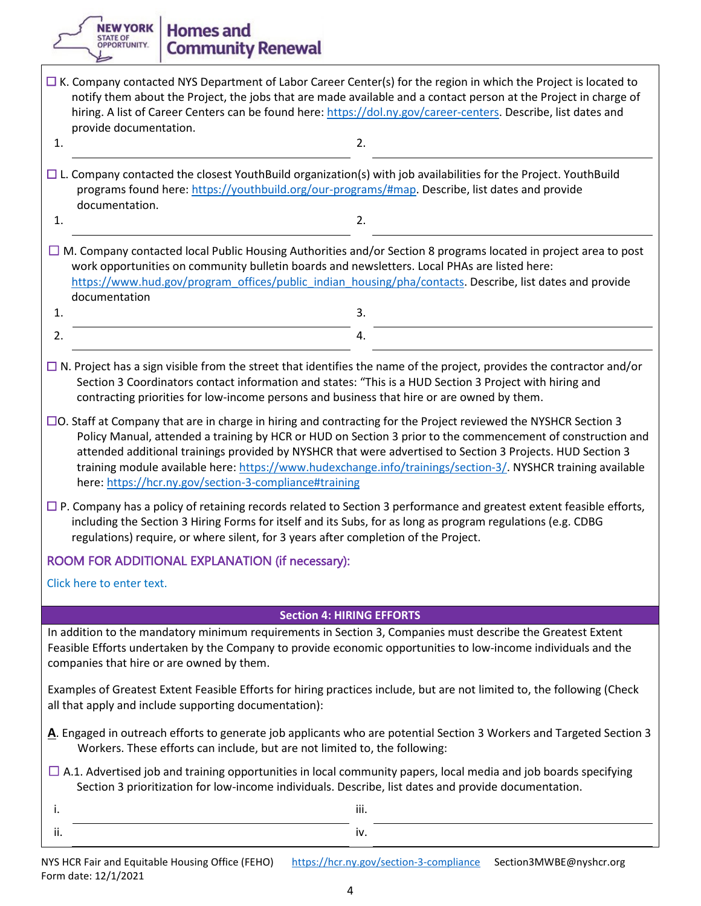**Homes and Community Renewal** 

 $1.$  2.

- $\Box$  K. Company contacted NYS Department of Labor Career Center(s) for the region in which the Project is located to notify them about the Project, the jobs that are made available and a contact person at the Project in charge of hiring. A list of Career Centers can be found here[: https://dol.ny.gov/career-centers.](https://dol.ny.gov/career-centers) Describe, list dates and provide documentation.
- $\Box$  L. Company contacted the closest YouthBuild organization(s) with job availabilities for the Project. YouthBuild programs found here[: https://youthbuild.org/our-programs/#map.](https://youthbuild.org/our-programs/#map) Describe, list dates and provide documentation.
- $1.$  2.

 $\square$  M. Company contacted local Public Housing Authorities and/or Section 8 programs located in project area to post work opportunities on community bulletin boards and newsletters. Local PHAs are listed here: [https://www.hud.gov/program\\_offices/public\\_indian\\_housing/pha/contacts.](https://www.hud.gov/program_offices/public_indian_housing/pha/contacts) Describe, list dates and provide documentation  $1.$  3.

**NEW YORK** 

STATE OF<br>OPPORTUNITY.

- $\Box$  N. Project has a sign visible from the street that identifies the name of the project, provides the contractor and/or Section 3 Coordinators contact information and states: "This is a HUD Section 3 Project with hiring and contracting priorities for low-income persons and business that hire or are owned by them.
- ☐O. Staff at Company that are in charge in hiring and contracting for the Project reviewed the NYSHCR Section 3 Policy Manual, attended a training by HCR or HUD on Section 3 prior to the commencement of construction and attended additional trainings provided by NYSHCR that were advertised to Section 3 Projects. HUD Section 3 training module available here: [https://www.hudexchange.info/trainings/section-3/.](https://www.hudexchange.info/trainings/section-3/) NYSHCR training available here:<https://hcr.ny.gov/section-3-compliance#training>
- $\Box$  P. Company has a policy of retaining records related to Section 3 performance and greatest extent feasible efforts, including the Section 3 Hiring Forms for itself and its Subs, for as long as program regulations (e.g. CDBG regulations) require, or where silent, for 3 years after completion of the Project.

## ROOM FOR ADDITIONAL EXPLANATION (if necessary):

Click here to enter text.

#### **Section 4: HIRING EFFORTS**

In addition to the mandatory minimum requirements in Section 3, Companies must describe the Greatest Extent Feasible Efforts undertaken by the Company to provide economic opportunities to low-income individuals and the companies that hire or are owned by them.

Examples of Greatest Extent Feasible Efforts for hiring practices include, but are not limited to, the following (Check all that apply and include supporting documentation):

- **A**. Engaged in outreach efforts to generate job applicants who are potential Section 3 Workers and Targeted Section 3 Workers. These efforts can include, but are not limited to, the following:
- $\Box$  A.1. Advertised job and training opportunities in local community papers, local media and job boards specifying Section 3 prioritization for low-income individuals. Describe, list dates and provide documentation.

i. In the contract of the contract of the contract of the contract of the contract of the contract of the contract of the contract of the contract of the contract of the contract of the contract of the contract of the cont ii. iv.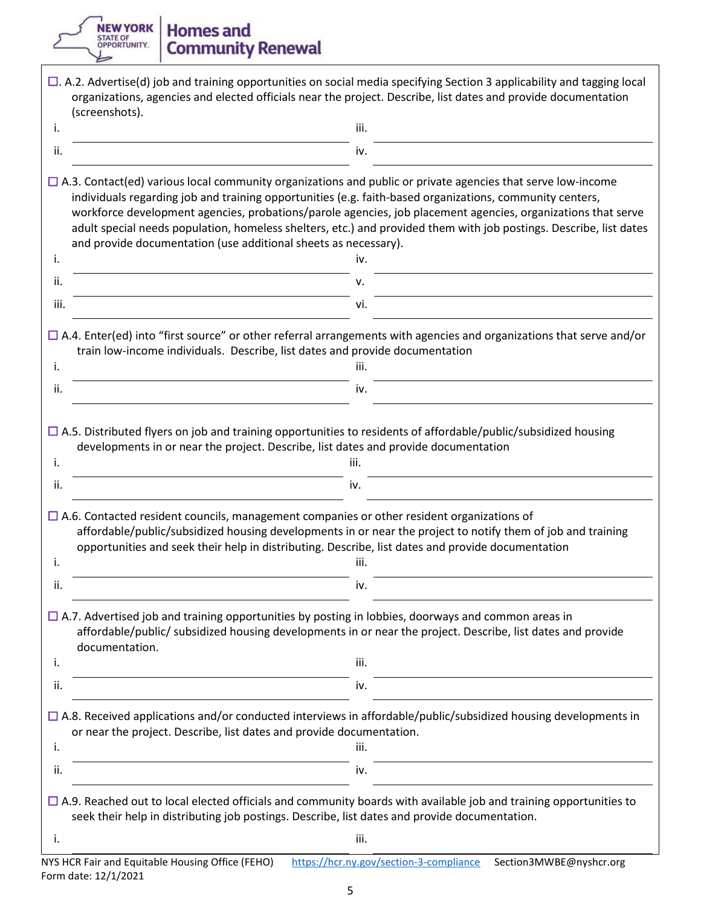**TREW YORK | Homes and<br>
DERIG OF OUTRE OF A COMMUNITY.** Community Renewal

|                        | (screenshots).                                                                                                                                                                                                                                                                                                                                                                                                                                                                                                                          |
|------------------------|-----------------------------------------------------------------------------------------------------------------------------------------------------------------------------------------------------------------------------------------------------------------------------------------------------------------------------------------------------------------------------------------------------------------------------------------------------------------------------------------------------------------------------------------|
| i.                     | iii.                                                                                                                                                                                                                                                                                                                                                                                                                                                                                                                                    |
| ii.                    | iv.                                                                                                                                                                                                                                                                                                                                                                                                                                                                                                                                     |
|                        | $\Box$ A.3. Contact(ed) various local community organizations and public or private agencies that serve low-income<br>individuals regarding job and training opportunities (e.g. faith-based organizations, community centers,<br>workforce development agencies, probations/parole agencies, job placement agencies, organizations that serve<br>adult special needs population, homeless shelters, etc.) and provided them with job postings. Describe, list dates<br>and provide documentation (use additional sheets as necessary). |
| i.                     | iv.                                                                                                                                                                                                                                                                                                                                                                                                                                                                                                                                     |
| ii.                    | ν.                                                                                                                                                                                                                                                                                                                                                                                                                                                                                                                                      |
| iii.                   | vi.                                                                                                                                                                                                                                                                                                                                                                                                                                                                                                                                     |
| i.<br>ii.              | $\Box$ A.4. Enter(ed) into "first source" or other referral arrangements with agencies and organizations that serve and/or<br>train low-income individuals. Describe, list dates and provide documentation<br>iii.<br>iv.                                                                                                                                                                                                                                                                                                               |
|                        |                                                                                                                                                                                                                                                                                                                                                                                                                                                                                                                                         |
|                        | $\Box$ A.5. Distributed flyers on job and training opportunities to residents of affordable/public/subsidized housing<br>developments in or near the project. Describe, list dates and provide documentation                                                                                                                                                                                                                                                                                                                            |
|                        | iii.<br>iv.<br>$\Box$ A.6. Contacted resident councils, management companies or other resident organizations of<br>affordable/public/subsidized housing developments in or near the project to notify them of job and training<br>opportunities and seek their help in distributing. Describe, list dates and provide documentation                                                                                                                                                                                                     |
| i.<br>ii.<br>i.<br>ii. | iii.<br>iv.                                                                                                                                                                                                                                                                                                                                                                                                                                                                                                                             |
|                        | $\Box$ A.7. Advertised job and training opportunities by posting in lobbies, doorways and common areas in<br>affordable/public/ subsidized housing developments in or near the project. Describe, list dates and provide<br>documentation.                                                                                                                                                                                                                                                                                              |
|                        | iii.                                                                                                                                                                                                                                                                                                                                                                                                                                                                                                                                    |
|                        | iv.                                                                                                                                                                                                                                                                                                                                                                                                                                                                                                                                     |
| i.                     | $\Box$ A.8. Received applications and/or conducted interviews in affordable/public/subsidized housing developments in<br>or near the project. Describe, list dates and provide documentation.<br>iii.                                                                                                                                                                                                                                                                                                                                   |
| i.<br>ii.<br>ii.       | iv.                                                                                                                                                                                                                                                                                                                                                                                                                                                                                                                                     |
|                        | $\Box$ A.9. Reached out to local elected officials and community boards with available job and training opportunities to<br>seek their help in distributing job postings. Describe, list dates and provide documentation.                                                                                                                                                                                                                                                                                                               |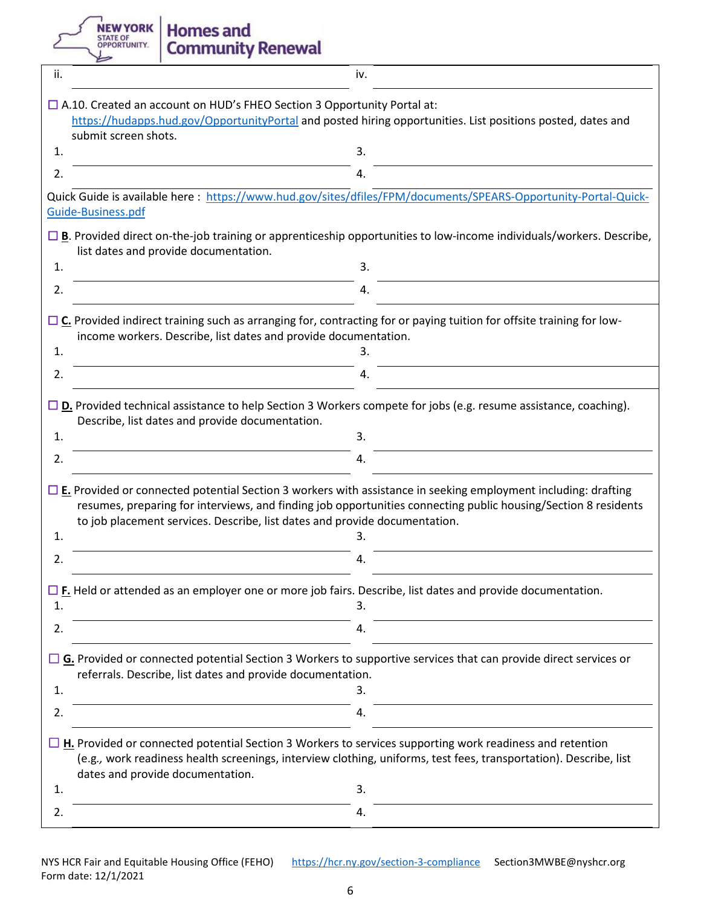NEW YORK

**Homes and<br>Community Renewal** 

| ii.                                                                                                                                                                                                                   | iv.                                                                                                                                                                                                                                                                                                                         |  |  |
|-----------------------------------------------------------------------------------------------------------------------------------------------------------------------------------------------------------------------|-----------------------------------------------------------------------------------------------------------------------------------------------------------------------------------------------------------------------------------------------------------------------------------------------------------------------------|--|--|
| $\Box$ A.10. Created an account on HUD's FHEO Section 3 Opportunity Portal at:<br>https://hudapps.hud.gov/OpportunityPortal and posted hiring opportunities. List positions posted, dates and<br>submit screen shots. |                                                                                                                                                                                                                                                                                                                             |  |  |
| 1.                                                                                                                                                                                                                    | 3.                                                                                                                                                                                                                                                                                                                          |  |  |
| 2.                                                                                                                                                                                                                    | 4.                                                                                                                                                                                                                                                                                                                          |  |  |
|                                                                                                                                                                                                                       | Quick Guide is available here: https://www.hud.gov/sites/dfiles/FPM/documents/SPEARS-Opportunity-Portal-Quick-<br>Guide-Business.pdf                                                                                                                                                                                        |  |  |
|                                                                                                                                                                                                                       | $\Box$ B. Provided direct on-the-job training or apprenticeship opportunities to low-income individuals/workers. Describe,<br>list dates and provide documentation.                                                                                                                                                         |  |  |
| 1.                                                                                                                                                                                                                    | 3.                                                                                                                                                                                                                                                                                                                          |  |  |
| 2.                                                                                                                                                                                                                    | 4.                                                                                                                                                                                                                                                                                                                          |  |  |
| 1.                                                                                                                                                                                                                    | $\Box$ C. Provided indirect training such as arranging for, contracting for or paying tuition for offsite training for low-<br>income workers. Describe, list dates and provide documentation.<br>3.                                                                                                                        |  |  |
| 2.                                                                                                                                                                                                                    | 4.                                                                                                                                                                                                                                                                                                                          |  |  |
|                                                                                                                                                                                                                       | $\square$ <b>D.</b> Provided technical assistance to help Section 3 Workers compete for jobs (e.g. resume assistance, coaching).<br>Describe, list dates and provide documentation.                                                                                                                                         |  |  |
| 1.                                                                                                                                                                                                                    | 3.                                                                                                                                                                                                                                                                                                                          |  |  |
| 2.                                                                                                                                                                                                                    | 4.                                                                                                                                                                                                                                                                                                                          |  |  |
| 1.                                                                                                                                                                                                                    | $\Box$ E. Provided or connected potential Section 3 workers with assistance in seeking employment including: drafting<br>resumes, preparing for interviews, and finding job opportunities connecting public housing/Section 8 residents<br>to job placement services. Describe, list dates and provide documentation.<br>3. |  |  |
| 2.                                                                                                                                                                                                                    | 4.                                                                                                                                                                                                                                                                                                                          |  |  |
| 1.                                                                                                                                                                                                                    | $\Box$ F. Held or attended as an employer one or more job fairs. Describe, list dates and provide documentation.<br>3.                                                                                                                                                                                                      |  |  |
| 2.                                                                                                                                                                                                                    | 4.                                                                                                                                                                                                                                                                                                                          |  |  |
|                                                                                                                                                                                                                       | $\Box$ G. Provided or connected potential Section 3 Workers to supportive services that can provide direct services or<br>referrals. Describe, list dates and provide documentation.                                                                                                                                        |  |  |
| 1.                                                                                                                                                                                                                    | 3.                                                                                                                                                                                                                                                                                                                          |  |  |
| 2.                                                                                                                                                                                                                    | 4.                                                                                                                                                                                                                                                                                                                          |  |  |
|                                                                                                                                                                                                                       | $\Box$ H. Provided or connected potential Section 3 Workers to services supporting work readiness and retention<br>(e.g., work readiness health screenings, interview clothing, uniforms, test fees, transportation). Describe, list<br>dates and provide documentation.                                                    |  |  |
| 1.                                                                                                                                                                                                                    | 3.                                                                                                                                                                                                                                                                                                                          |  |  |
| 2.                                                                                                                                                                                                                    | 4.                                                                                                                                                                                                                                                                                                                          |  |  |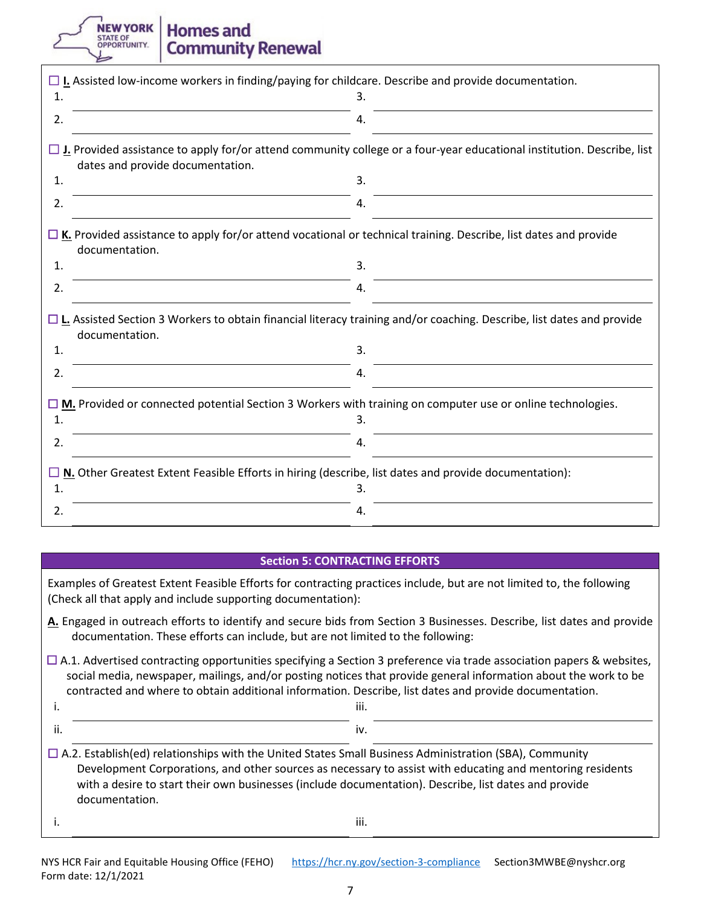**NEW YORK** STATE OF OPPORTUNITY.

### **Homes and Community Renewal**

|    | $\Box$ I. Assisted low-income workers in finding/paying for childcare. Describe and provide documentation.                                                        |  |
|----|-------------------------------------------------------------------------------------------------------------------------------------------------------------------|--|
| 1. | 3.                                                                                                                                                                |  |
| 2. | 4.                                                                                                                                                                |  |
|    | $\Box$ J. Provided assistance to apply for/or attend community college or a four-year educational institution. Describe, list<br>dates and provide documentation. |  |
| 1. | 3.                                                                                                                                                                |  |
| 2. | 4.                                                                                                                                                                |  |
|    | $\Box$ K. Provided assistance to apply for/or attend vocational or technical training. Describe, list dates and provide<br>documentation.                         |  |
| 1. | 3.                                                                                                                                                                |  |
| 2. | 4.                                                                                                                                                                |  |
|    | $\Box$ L. Assisted Section 3 Workers to obtain financial literacy training and/or coaching. Describe, list dates and provide<br>documentation.                    |  |
| 1. | 3.                                                                                                                                                                |  |
| 2. | 4.                                                                                                                                                                |  |
|    | $\square$ M. Provided or connected potential Section 3 Workers with training on computer use or online technologies.                                              |  |
| 1. | 3.                                                                                                                                                                |  |
| 2. | 4.                                                                                                                                                                |  |
| 1. | $\Box$ N. Other Greatest Extent Feasible Efforts in hiring (describe, list dates and provide documentation):<br>3.                                                |  |
|    |                                                                                                                                                                   |  |
| 2. | 4.                                                                                                                                                                |  |

#### **Section 5: CONTRACTING EFFORTS**

Examples of Greatest Extent Feasible Efforts for contracting practices include, but are not limited to, the following (Check all that apply and include supporting documentation):

- **A.** Engaged in outreach efforts to identify and secure bids from Section 3 Businesses. Describe, list dates and provide documentation. These efforts can include, but are not limited to the following:
- $\Box$  A.1. Advertised contracting opportunities specifying a Section 3 preference via trade association papers & websites, social media, newspaper, mailings, and/or posting notices that provide general information about the work to be contracted and where to obtain additional information. Describe, list dates and provide documentation.

ii. iv.

i. In the contract of the contract of the contract of the contract of the contract of the contract of the contract of the contract of the contract of the contract of the contract of the contract of the contract of the cont

- $\Box$  A.2. Establish(ed) relationships with the United States Small Business Administration (SBA), Community Development Corporations, and other sources as necessary to assist with educating and mentoring residents with a desire to start their own businesses (include documentation). Describe, list dates and provide documentation.
-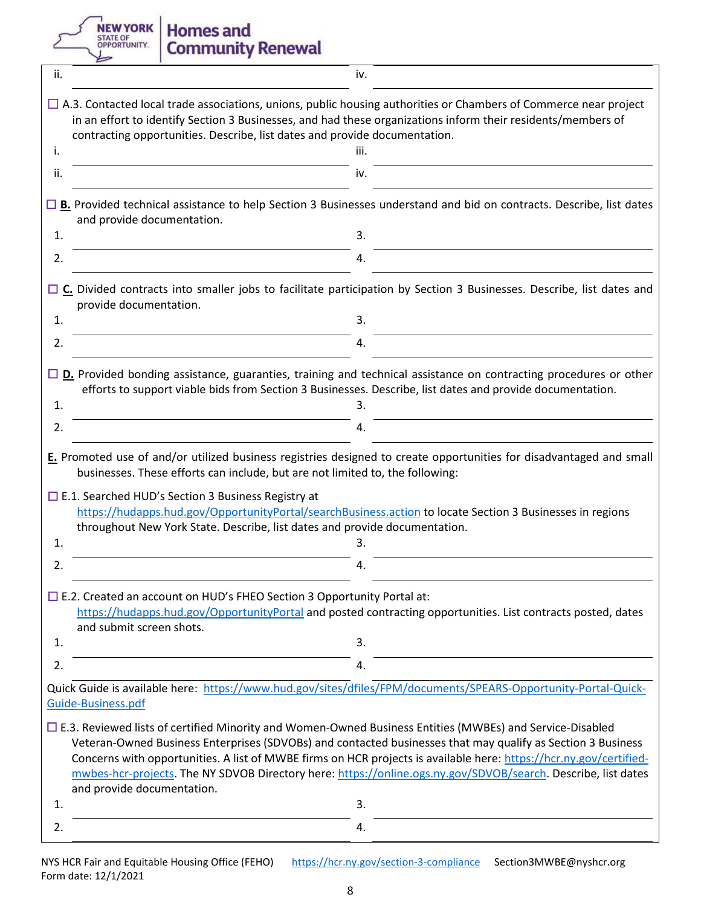NEW YORK

# **Homes and<br>Community Renewal**

| ii. | iv.                                                                                                                                                                                                                                                                                                                                                                                                                                                                                                 |
|-----|-----------------------------------------------------------------------------------------------------------------------------------------------------------------------------------------------------------------------------------------------------------------------------------------------------------------------------------------------------------------------------------------------------------------------------------------------------------------------------------------------------|
|     | $\Box$ A.3. Contacted local trade associations, unions, public housing authorities or Chambers of Commerce near project<br>in an effort to identify Section 3 Businesses, and had these organizations inform their residents/members of<br>contracting opportunities. Describe, list dates and provide documentation.                                                                                                                                                                               |
| i.  | iii.                                                                                                                                                                                                                                                                                                                                                                                                                                                                                                |
| ii. | iv.                                                                                                                                                                                                                                                                                                                                                                                                                                                                                                 |
|     | $\Box$ B. Provided technical assistance to help Section 3 Businesses understand and bid on contracts. Describe, list dates<br>and provide documentation.                                                                                                                                                                                                                                                                                                                                            |
| 1.  | 3.                                                                                                                                                                                                                                                                                                                                                                                                                                                                                                  |
| 2.  | 4.                                                                                                                                                                                                                                                                                                                                                                                                                                                                                                  |
|     | $\Box$ C. Divided contracts into smaller jobs to facilitate participation by Section 3 Businesses. Describe, list dates and<br>provide documentation.                                                                                                                                                                                                                                                                                                                                               |
| 1.  | 3.                                                                                                                                                                                                                                                                                                                                                                                                                                                                                                  |
| 2.  | 4.                                                                                                                                                                                                                                                                                                                                                                                                                                                                                                  |
| 1.  | $\Box$ D. Provided bonding assistance, guaranties, training and technical assistance on contracting procedures or other<br>efforts to support viable bids from Section 3 Businesses. Describe, list dates and provide documentation.<br>3.                                                                                                                                                                                                                                                          |
| 2.  | 4.                                                                                                                                                                                                                                                                                                                                                                                                                                                                                                  |
| 1.  | E. Promoted use of and/or utilized business registries designed to create opportunities for disadvantaged and small<br>businesses. These efforts can include, but are not limited to, the following:<br>$\Box$ E.1. Searched HUD's Section 3 Business Registry at<br>https://hudapps.hud.gov/OpportunityPortal/searchBusiness.action to locate Section 3 Businesses in regions<br>throughout New York State. Describe, list dates and provide documentation.<br>3.                                  |
|     |                                                                                                                                                                                                                                                                                                                                                                                                                                                                                                     |
| 2.  | 4.                                                                                                                                                                                                                                                                                                                                                                                                                                                                                                  |
|     | $\Box$ E.2. Created an account on HUD's FHEO Section 3 Opportunity Portal at:<br>https://hudapps.hud.gov/OpportunityPortal and posted contracting opportunities. List contracts posted, dates<br>and submit screen shots.                                                                                                                                                                                                                                                                           |
| 1.  | 3.                                                                                                                                                                                                                                                                                                                                                                                                                                                                                                  |
| 2.  | 4.                                                                                                                                                                                                                                                                                                                                                                                                                                                                                                  |
|     | Quick Guide is available here: https://www.hud.gov/sites/dfiles/FPM/documents/SPEARS-Opportunity-Portal-Quick-<br>Guide-Business.pdf                                                                                                                                                                                                                                                                                                                                                                |
|     | $\Box$ E.3. Reviewed lists of certified Minority and Women-Owned Business Entities (MWBEs) and Service-Disabled<br>Veteran-Owned Business Enterprises (SDVOBs) and contacted businesses that may qualify as Section 3 Business<br>Concerns with opportunities. A list of MWBE firms on HCR projects is available here: https://hcr.ny.gov/certified-<br>mwbes-hcr-projects. The NY SDVOB Directory here: https://online.ogs.ny.gov/SDVOB/search. Describe, list dates<br>and provide documentation. |
| 1.  | 3.                                                                                                                                                                                                                                                                                                                                                                                                                                                                                                  |
| 2.  | 4.                                                                                                                                                                                                                                                                                                                                                                                                                                                                                                  |